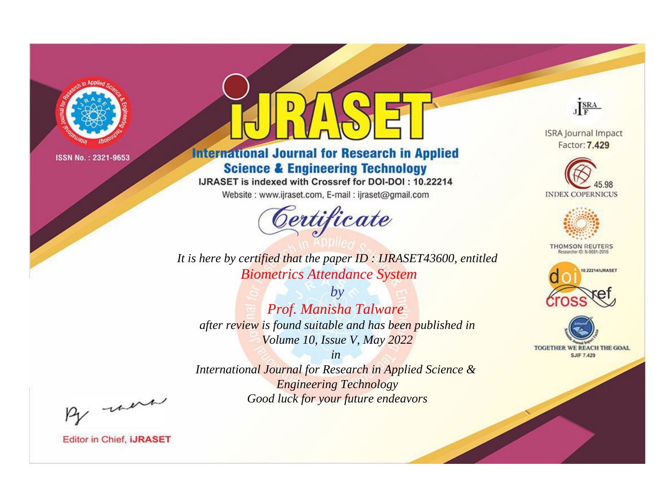

# **International Journal for Research in Applied Science & Engineering Technology**

IJRASET is indexed with Crossref for DOI-DOI: 10.22214

Website: www.ijraset.com, E-mail: ijraset@gmail.com



JERA

**ISRA Journal Impact** Factor: 7.429





**THOMSON REUTERS** 



TOGETHER WE REACH THE GOAL **SJIF 7.429** 

*It is here by certified that the paper ID : IJRASET43600, entitled Biometrics Attendance System*

*by Prof. Manisha Talware after review is found suitable and has been published in Volume 10, Issue V, May 2022*

*in* 

*International Journal for Research in Applied Science & Engineering Technology Good luck for your future endeavors*

By morn

**Editor in Chief, IJRASET**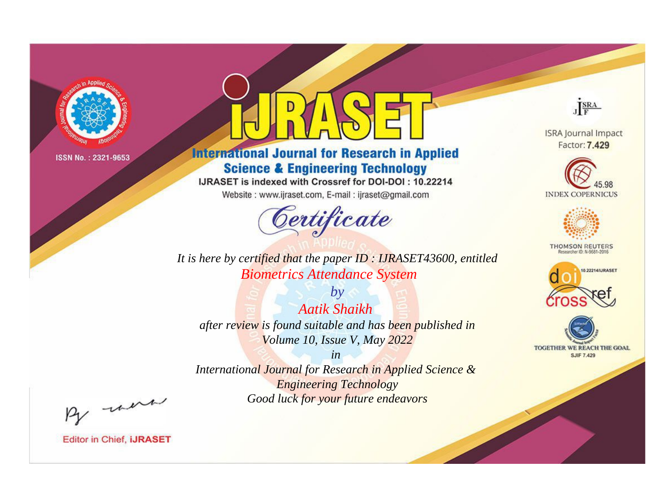

# **International Journal for Research in Applied Science & Engineering Technology**

IJRASET is indexed with Crossref for DOI-DOI: 10.22214

Website: www.ijraset.com, E-mail: ijraset@gmail.com



*It is here by certified that the paper ID : IJRASET43600, entitled Biometrics Attendance System*

*by Aatik Shaikh after review is found suitable and has been published in Volume 10, Issue V, May 2022*

*in International Journal for Research in Applied Science & Engineering Technology Good luck for your future endeavors*

By morn

**Editor in Chief, IJRASET** 

**ISRA Journal Impact** Factor: 7.429

JERA





**THOMSON REUTERS** 



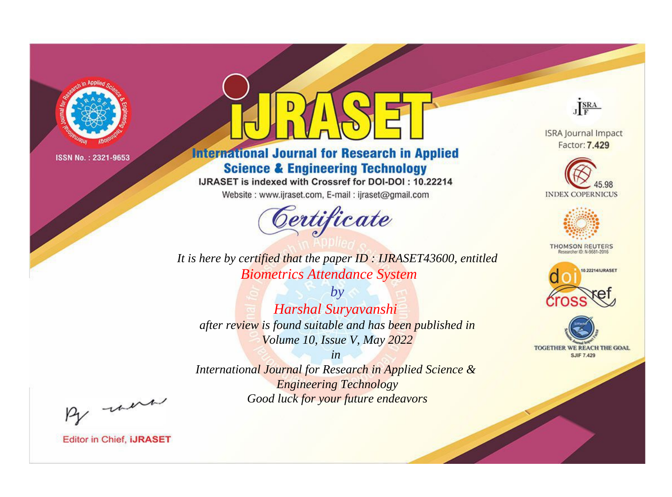

# **International Journal for Research in Applied Science & Engineering Technology**

IJRASET is indexed with Crossref for DOI-DOI: 10.22214

Website: www.ijraset.com, E-mail: ijraset@gmail.com



JERA

**ISRA Journal Impact** Factor: 7.429





**THOMSON REUTERS** 



TOGETHER WE REACH THE GOAL **SJIF 7.429** 

*It is here by certified that the paper ID : IJRASET43600, entitled Biometrics Attendance System*

*by Harshal Suryavanshi after review is found suitable and has been published in Volume 10, Issue V, May 2022*

*in* 

*International Journal for Research in Applied Science & Engineering Technology Good luck for your future endeavors*

By morn

**Editor in Chief, IJRASET**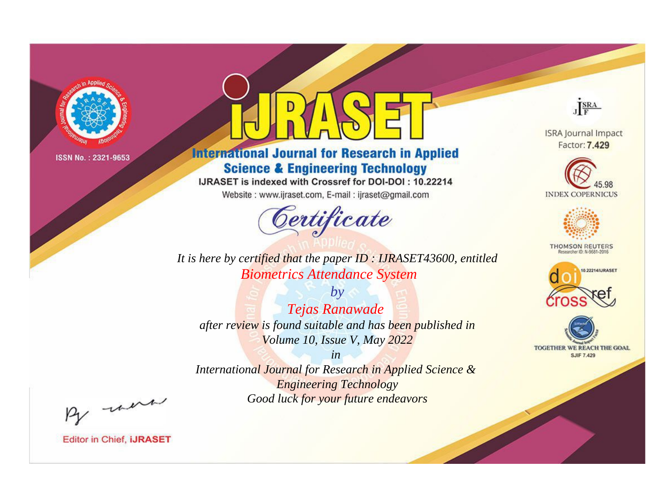

# **International Journal for Research in Applied Science & Engineering Technology**

IJRASET is indexed with Crossref for DOI-DOI: 10.22214

Website: www.ijraset.com, E-mail: ijraset@gmail.com



*It is here by certified that the paper ID : IJRASET43600, entitled Biometrics Attendance System*

*by Tejas Ranawade after review is found suitable and has been published in Volume 10, Issue V, May 2022*

*in International Journal for Research in Applied Science & Engineering Technology Good luck for your future endeavors*



**Editor in Chief, IJRASET** 

**ISRA Journal Impact** Factor: 7.429

JERA





**THOMSON REUTERS** 



TOGETHER WE REACH THE GOAL **SJIF 7.429**